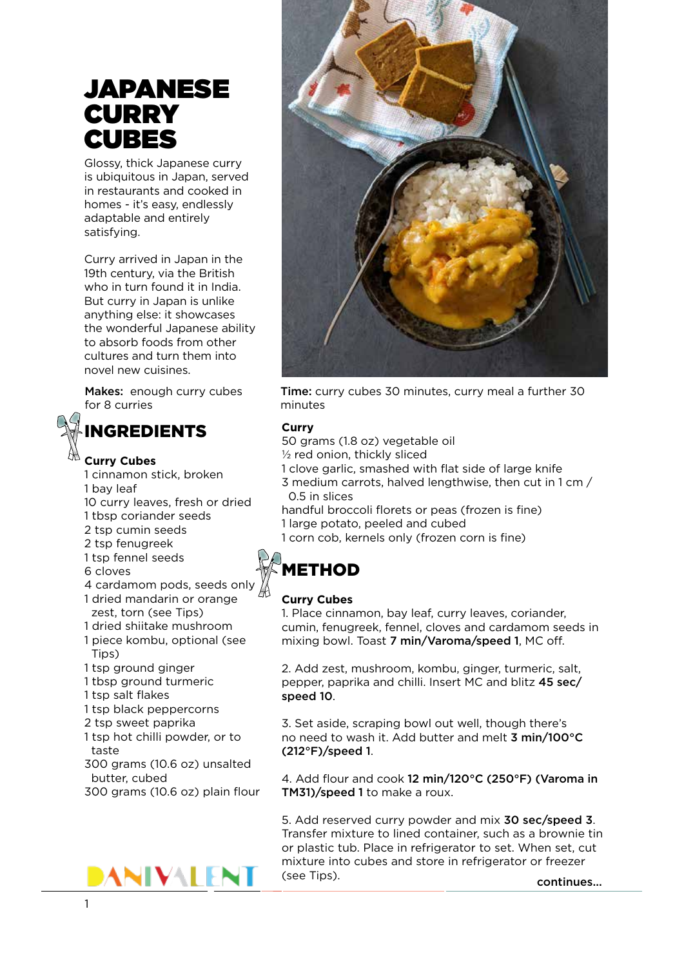# JAPANESE **CURRY** CUBES

Glossy, thick Japanese curry is ubiquitous in Japan, served in restaurants and cooked in homes - it's easy, endlessly adaptable and entirely satisfying.

Curry arrived in Japan in the 19th century, via the British who in turn found it in India. But curry in Japan is unlike anything else: it showcases the wonderful Japanese ability to absorb foods from other cultures and turn them into novel new cuisines.

for 8 curries minutes



# INGREDIENTS

## **Curry Cubes**

- 1 cinnamon stick, broken 1 bay leaf 10 curry leaves, fresh or dried 1 tbsp coriander seeds 2 tsp cumin seeds 2 tsp fenugreek 1 tsp fennel seeds 6 cloves 4 cardamom pods, seeds only 1 dried mandarin or orange zest, torn (see Tips) 1 dried shiitake mushroom 1 piece kombu, optional (see Tips) 1 tsp ground ginger 1 tbsp ground turmeric 1 tsp salt flakes 1 tsp black peppercorns 2 tsp sweet paprika 1 tsp hot chilli powder, or to taste
- 300 grams (10.6 oz) unsalted butter, cubed
- 300 grams (10.6 oz) plain flour





Makes: enough curry cubes Time: curry cubes 30 minutes, curry meal a further 30

### **Curry**

50 grams (1.8 oz) vegetable oil  $1/2$  red onion, thickly sliced 1 clove garlic, smashed with flat side of large knife 3 medium carrots, halved lengthwise, then cut in 1 cm / 0.5 in slices handful broccoli florets or peas (frozen is fine) 1 large potato, peeled and cubed

1 corn cob, kernels only (frozen corn is fine)

# **METHOD**

### **Curry Cubes**

1. Place cinnamon, bay leaf, curry leaves, coriander, cumin, fenugreek, fennel, cloves and cardamom seeds in mixing bowl. Toast 7 min/Varoma/speed 1, MC off.

2. Add zest, mushroom, kombu, ginger, turmeric, salt, pepper, paprika and chilli. Insert MC and blitz 45 sec/ speed 10.

3. Set aside, scraping bowl out well, though there's no need to wash it. Add butter and melt 3 min/100°C (212°F)/speed 1.

4. Add flour and cook 12 min/120°C (250°F) (Varoma in TM31)/speed 1 to make a roux.

5. Add reserved curry powder and mix 30 sec/speed 3. Transfer mixture to lined container, such as a brownie tin or plastic tub. Place in refrigerator to set. When set, cut mixture into cubes and store in refrigerator or freezer (see Tips).

continues...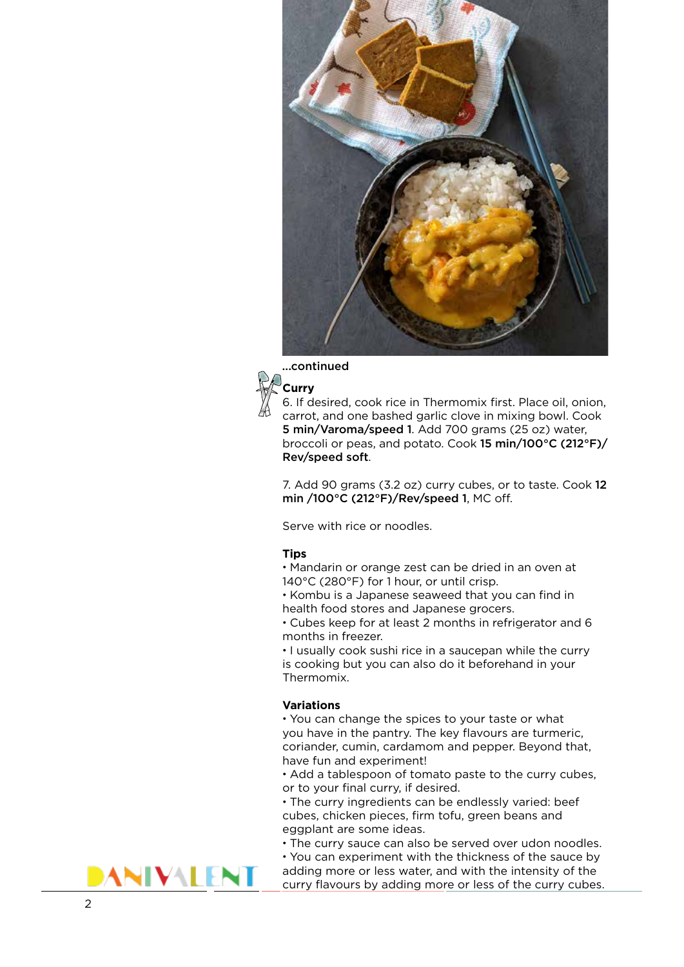





6. If desired, cook rice in Thermomix first. Place oil, onion, carrot, and one bashed garlic clove in mixing bowl. Cook 5 min/Varoma/speed 1. Add 700 grams (25 oz) water, broccoli or peas, and potato. Cook 15 min/100°C (212°F)/ Rev/speed soft .

7. Add 90 grams (3.2 oz) curry cubes, or to taste. Cook 12 min /100°C (212°F)/Rev/speed 1, MC off.

Serve with rice or noodles.

#### **Tips**

• Mandarin or orange zest can be dried in an oven at 140°C (280°F) for 1 hour, or until crisp.

• Kombu is a Japanese seaweed that you can find in health food stores and Japanese grocers.

• Cubes keep for at least 2 months in refrigerator and 6 months in freezer.

• I usually cook sushi rice in a saucepan while the curry is cooking but you can also do it beforehand in your Thermomix.

#### **Variations**

• You can change the spices to your taste or what you have in the pantry. The key flavours are turmeric, coriander, cumin, cardamom and pepper. Beyond that, have fun and experiment!

• Add a tablespoon of tomato paste to the curry cubes, or to your final curry, if desired.

• The curry ingredients can be endlessly varied: beef cubes, chicken pieces, firm tofu, green beans and eggplant are some ideas.

• The curry sauce can also be served over udon noodles.

• You can experiment with the thickness of the sauce by adding more or less water, and with the intensity of the curry flavours by adding more or less of the curry cubes.